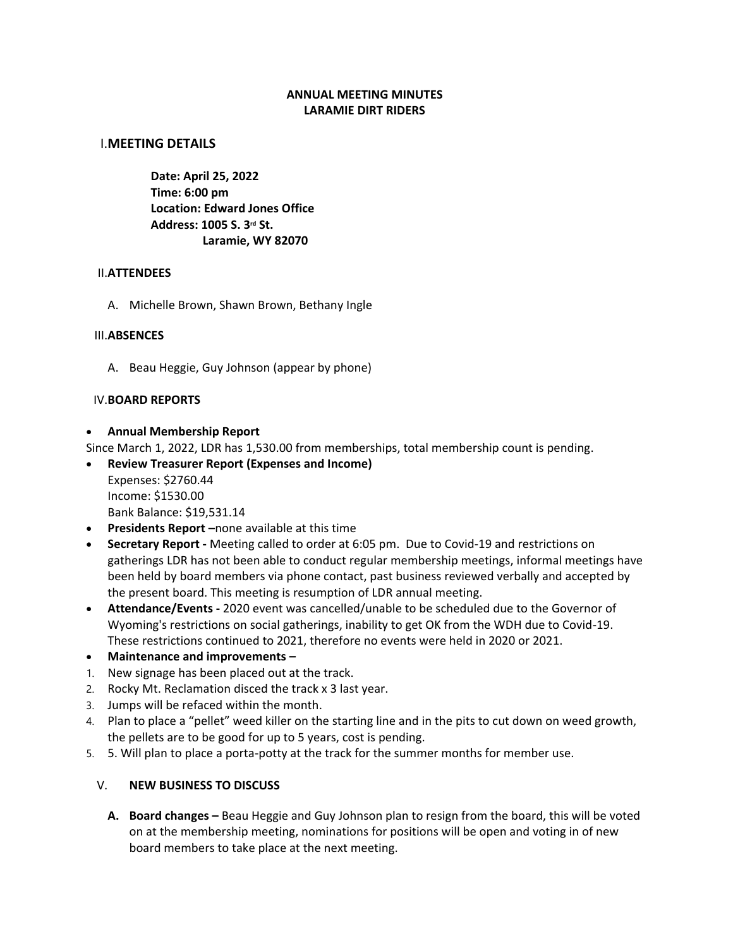### **ANNUAL MEETING MINUTES LARAMIE DIRT RIDERS**

#### I.**MEETING DETAILS**

**Date: April 25, 2022 Time: 6:00 pm Location: Edward Jones Office Address: 1005 S. 3rd St. Laramie, WY 82070**

#### II.**ATTENDEES**

A. Michelle Brown, Shawn Brown, Bethany Ingle

#### III.**ABSENCES**

A. Beau Heggie, Guy Johnson (appear by phone)

#### IV.**BOARD REPORTS**

#### • **Annual Membership Report**

Since March 1, 2022, LDR has 1,530.00 from memberships, total membership count is pending.

#### • **Review Treasurer Report (Expenses and Income)**

Expenses: \$2760.44 Income: \$1530.00 Bank Balance: \$19,531.14

- **Presidents Report –**none available at this time
- **Secretary Report -** Meeting called to order at 6:05 pm. Due to Covid-19 and restrictions on gatherings LDR has not been able to conduct regular membership meetings, informal meetings have been held by board members via phone contact, past business reviewed verbally and accepted by the present board. This meeting is resumption of LDR annual meeting.
- **Attendance/Events -** 2020 event was cancelled/unable to be scheduled due to the Governor of Wyoming's restrictions on social gatherings, inability to get OK from the WDH due to Covid-19. These restrictions continued to 2021, therefore no events were held in 2020 or 2021.
- **Maintenance and improvements –**
- 1. New signage has been placed out at the track.
- 2. Rocky Mt. Reclamation disced the track x 3 last year.
- 3. Jumps will be refaced within the month.
- 4. Plan to place a "pellet" weed killer on the starting line and in the pits to cut down on weed growth, the pellets are to be good for up to 5 years, cost is pending.
- 5. 5. Will plan to place a porta-potty at the track for the summer months for member use.

### V. **NEW BUSINESS TO DISCUSS**

**A. Board changes –** Beau Heggie and Guy Johnson plan to resign from the board, this will be voted on at the membership meeting, nominations for positions will be open and voting in of new board members to take place at the next meeting.